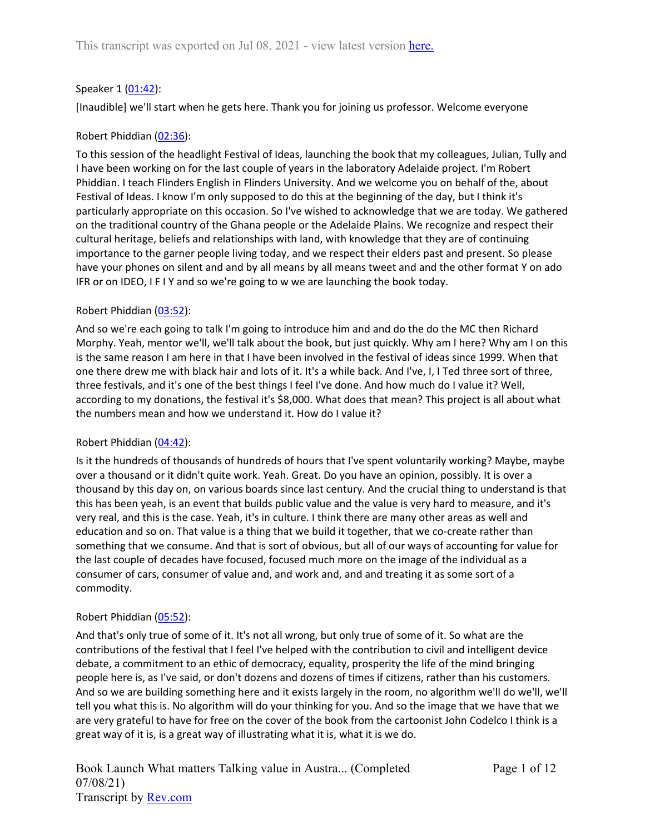### Speaker 1 ([01:42](https://www.rev.com/transcript-editor/Edit?token=uL1aiCEy8-Bji6hpaVBa8vG1TCz1sAbWGqL4dXjgIPi_lq0_mBk4PhBiT9KeJWnqbaPr47zqyB0tS_lDuFVwN4VMS3M&loadFrom=DocumentDeeplink&ts=102.24)):

[Inaudible] we'll start when he gets here. Thank you for joining us professor. Welcome everyone

### Robert Phiddian ([02:36](https://www.rev.com/transcript-editor/Edit?token=-AckvT9w8x7iurdd8NrZ0GTlygtA-yJMT1A-m4VmK1AntpgLrx-vyhA51out5ysjvLxEs-wHiR7vsKUqDgCG849oTE8&loadFrom=DocumentDeeplink&ts=156.23)):

To this session of the headlight Festival of Ideas, launching the book that my colleagues, Julian, Tully and I have been working on for the last couple of years in the laboratory Adelaide project. I'm Robert Phiddian. I teach Flinders English in Flinders University. And we welcome you on behalf of the, about Festival of Ideas. I know I'm only supposed to do this at the beginning of the day, but I think it's particularly appropriate on this occasion. So I've wished to acknowledge that we are today. We gathered on the traditional country of the Ghana people or the Adelaide Plains. We recognize and respect their cultural heritage, beliefs and relationships with land, with knowledge that they are of continuing importance to the garner people living today, and we respect their elders past and present. So please have your phones on silent and and by all means by all means tweet and and the other format Y on ado IFR or on IDEO, I F I Y and so we're going to w we are launching the book today.

### Robert Phiddian ([03:52](https://www.rev.com/transcript-editor/Edit?token=eA1KEw9PisoiPs3Myr9EjbYjx3F06OCoNqx901ownri_0iKzVA6vKb60I-ih_dkYihbfD9t7m-5W31qPYEgXNwHNUUM&loadFrom=DocumentDeeplink&ts=232.33)):

And so we're each going to talk I'm going to introduce him and and do the do the MC then Richard Morphy. Yeah, mentor we'll, we'll talk about the book, but just quickly. Why am I here? Why am I on this is the same reason I am here in that I have been involved in the festival of ideas since 1999. When that one there drew me with black hair and lots of it. It's a while back. And I've, I, I Ted three sort of three, three festivals, and it's one of the best things I feel I've done. And how much do I value it? Well, according to my donations, the festival it's \$8,000. What does that mean? This project is all about what the numbers mean and how we understand it. How do I value it?

### Robert Phiddian ([04:42](https://www.rev.com/transcript-editor/Edit?token=td3DzNvo5bYDKpRd8_mbW8sMWKbNOgqNX6fb8zEVbnaiRQj3-bow0a0KoXqxHGKXkh2zVSzMONXjK2z6Np66jvn-Wc8&loadFrom=DocumentDeeplink&ts=282.69)):

Is it the hundreds of thousands of hundreds of hours that I've spent voluntarily working? Maybe, maybe over a thousand or it didn't quite work. Yeah. Great. Do you have an opinion, possibly. It is over a thousand by this day on, on various boards since last century. And the crucial thing to understand is that this has been yeah, is an event that builds public value and the value is very hard to measure, and it's very real, and this is the case. Yeah, it's in culture. I think there are many other areas as well and education and so on. That value is a thing that we build it together, that we co-create rather than something that we consume. And that is sort of obvious, but all of our ways of accounting for value for the last couple of decades have focused, focused much more on the image of the individual as a consumer of cars, consumer of value and, and work and, and and treating it as some sort of a commodity.

### Robert Phiddian ([05:52](https://www.rev.com/transcript-editor/Edit?token=dONn3CyY1pDUNyDvjBGq8c_qvaIA7VToYyh3UqAXnn0uUvGwOI5SLNSHODLu1ccV7mHhDenFIAhzip6aij_Y9kFK7kg&loadFrom=DocumentDeeplink&ts=352.59)):

And that's only true of some of it. It's not all wrong, but only true of some of it. So what are the contributions of the festival that I feel I've helped with the contribution to civil and intelligent device debate, a commitment to an ethic of democracy, equality, prosperity the life of the mind bringing people here is, as I've said, or don't dozens and dozens of times if citizens, rather than his customers. And so we are building something here and it exists largely in the room, no algorithm we'll do we'll, we'll tell you what this is. No algorithm will do your thinking for you. And so the image that we have that we are very grateful to have for free on the cover of the book from the cartoonist John Codelco I think is a great way of it is, is a great way of illustrating what it is, what it is we do.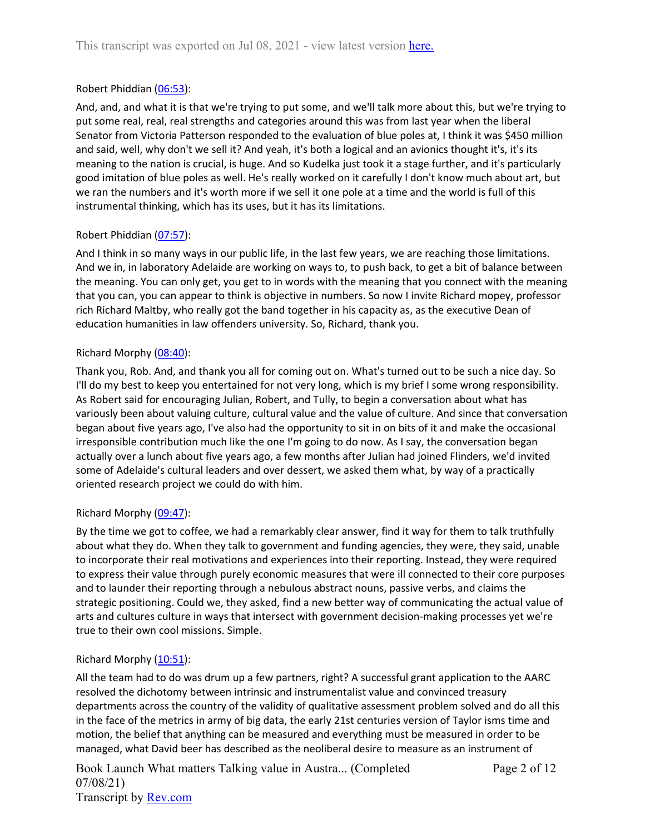# Robert Phiddian ([06:53](https://www.rev.com/transcript-editor/Edit?token=dFmTQBMiGy65R50fv2p0md5xgcKKRpSwS2_sEzinYQ9PpO-6E_ge6GFk0kv85L3Y3C3ZuziKW3a8chJfAw6F0hgINaM&loadFrom=DocumentDeeplink&ts=413.321)):

And, and, and what it is that we're trying to put some, and we'll talk more about this, but we're trying to put some real, real, real strengths and categories around this was from last year when the liberal Senator from Victoria Patterson responded to the evaluation of blue poles at, I think it was \$450 million and said, well, why don't we sell it? And yeah, it's both a logical and an avionics thought it's, it's its meaning to the nation is crucial, is huge. And so Kudelka just took it a stage further, and it's particularly good imitation of blue poles as well. He's really worked on it carefully I don't know much about art, but we ran the numbers and it's worth more if we sell it one pole at a time and the world is full of this instrumental thinking, which has its uses, but it has its limitations.

# Robert Phiddian ([07:57](https://www.rev.com/transcript-editor/Edit?token=sVZ-prk8dsZGUh2iv7Bdi1_9Rl3_hP5MW6bcc_n-MVao1jDp7o0NG2poXR0vDHJct1K9IZIS6ToDfRQ9v4CXekyhleI&loadFrom=DocumentDeeplink&ts=477.29)):

And I think in so many ways in our public life, in the last few years, we are reaching those limitations. And we in, in laboratory Adelaide are working on ways to, to push back, to get a bit of balance between the meaning. You can only get, you get to in words with the meaning that you connect with the meaning that you can, you can appear to think is objective in numbers. So now I invite Richard mopey, professor rich Richard Maltby, who really got the band together in his capacity as, as the executive Dean of education humanities in law offenders university. So, Richard, thank you.

# Richard Morphy ([08:40\)](https://www.rev.com/transcript-editor/Edit?token=CpnzUpqcEHR4LlM2op3loRHu-r3RX1rUsU4d9w3Okk0iCbCax8S1mpjFKH2t7FpHC2Ix7eAib0Dhd1EM3gh6dmLit1w&loadFrom=DocumentDeeplink&ts=520.54):

Thank you, Rob. And, and thank you all for coming out on. What's turned out to be such a nice day. So I'll do my best to keep you entertained for not very long, which is my brief I some wrong responsibility. As Robert said for encouraging Julian, Robert, and Tully, to begin a conversation about what has variously been about valuing culture, cultural value and the value of culture. And since that conversation began about five years ago, I've also had the opportunity to sit in on bits of it and make the occasional irresponsible contribution much like the one I'm going to do now. As I say, the conversation began actually over a lunch about five years ago, a few months after Julian had joined Flinders, we'd invited some of Adelaide's cultural leaders and over dessert, we asked them what, by way of a practically oriented research project we could do with him.

# Richard Morphy  $(09:47)$  $(09:47)$ :

By the time we got to coffee, we had a remarkably clear answer, find it way for them to talk truthfully about what they do. When they talk to government and funding agencies, they were, they said, unable to incorporate their real motivations and experiences into their reporting. Instead, they were required to express their value through purely economic measures that were ill connected to their core purposes and to launder their reporting through a nebulous abstract nouns, passive verbs, and claims the strategic positioning. Could we, they asked, find a new better way of communicating the actual value of arts and cultures culture in ways that intersect with government decision-making processes yet we're true to their own cool missions. Simple.

# Richard Morphy ([10:51\)](https://www.rev.com/transcript-editor/Edit?token=YGWvRBKCuKLod5BxHx0dEzPe0sWaiEq8AvSZBkv5vrt6NtAD_NTpocbGr6swzOvvNuyPLHGeeOI0oOxxMLF0iuwGojQ&loadFrom=DocumentDeeplink&ts=651.98):

All the team had to do was drum up a few partners, right? A successful grant application to the AARC resolved the dichotomy between intrinsic and instrumentalist value and convinced treasury departments across the country of the validity of qualitative assessment problem solved and do all this in the face of the metrics in army of big data, the early 21st centuries version of Taylor isms time and motion, the belief that anything can be measured and everything must be measured in order to be managed, what David beer has described as the neoliberal desire to measure as an instrument of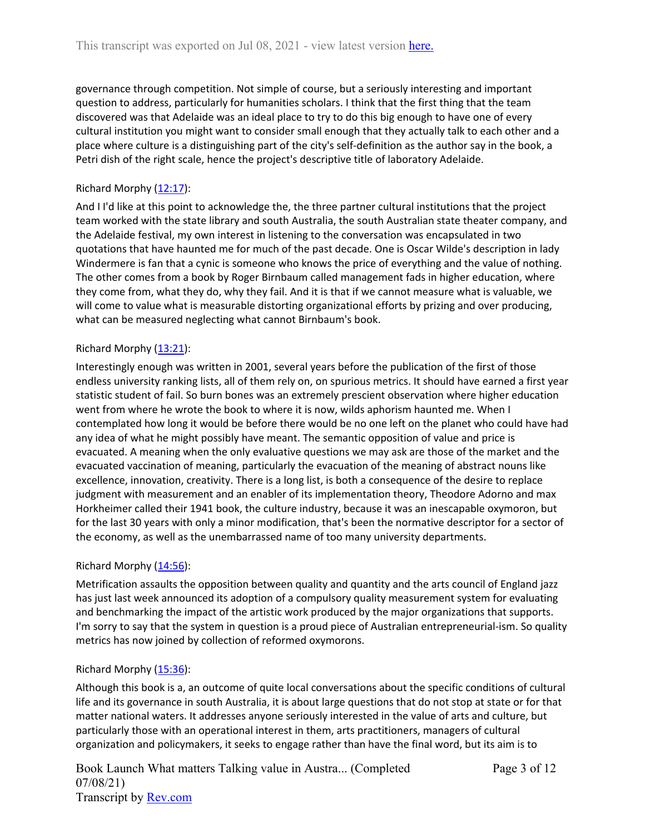governance through competition. Not simple of course, but a seriously interesting and important question to address, particularly for humanities scholars. I think that the first thing that the team discovered was that Adelaide was an ideal place to try to do this big enough to have one of every cultural institution you might want to consider small enough that they actually talk to each other and a place where culture is a distinguishing part of the city's self-definition as the author say in the book, a Petri dish of the right scale, hence the project's descriptive title of laboratory Adelaide.

# Richard Morphy ([12:17\)](https://www.rev.com/transcript-editor/Edit?token=nqBuQoz1xzyinfCdK2RtpKymlGerRYY0BVzRFXlUdosujRDccqJYdbAKT6D-CtsVFufsfuWH0jeT1LfPDY04LMi3Hlg&loadFrom=DocumentDeeplink&ts=737.47):

And I I'd like at this point to acknowledge the, the three partner cultural institutions that the project team worked with the state library and south Australia, the south Australian state theater company, and the Adelaide festival, my own interest in listening to the conversation was encapsulated in two quotations that have haunted me for much of the past decade. One is Oscar Wilde's description in lady Windermere is fan that a cynic is someone who knows the price of everything and the value of nothing. The other comes from a book by Roger Birnbaum called management fads in higher education, where they come from, what they do, why they fail. And it is that if we cannot measure what is valuable, we will come to value what is measurable distorting organizational efforts by prizing and over producing, what can be measured neglecting what cannot Birnbaum's book.

# Richard Morphy ([13:21\)](https://www.rev.com/transcript-editor/Edit?token=COEK44_ppMt62-RkGczjxwpJn9scamgCyNDWMm4Xpjwal5AA5rpHwNncfFB0UBu6A0CO7KK0nerwKvwM4bKqNUZuFlY&loadFrom=DocumentDeeplink&ts=801.88):

Interestingly enough was written in 2001, several years before the publication of the first of those endless university ranking lists, all of them rely on, on spurious metrics. It should have earned a first year statistic student of fail. So burn bones was an extremely prescient observation where higher education went from where he wrote the book to where it is now, wilds aphorism haunted me. When I contemplated how long it would be before there would be no one left on the planet who could have had any idea of what he might possibly have meant. The semantic opposition of value and price is evacuated. A meaning when the only evaluative questions we may ask are those of the market and the evacuated vaccination of meaning, particularly the evacuation of the meaning of abstract nouns like excellence, innovation, creativity. There is a long list, is both a consequence of the desire to replace judgment with measurement and an enabler of its implementation theory, Theodore Adorno and max Horkheimer called their 1941 book, the culture industry, because it was an inescapable oxymoron, but for the last 30 years with only a minor modification, that's been the normative descriptor for a sector of the economy, as well as the unembarrassed name of too many university departments.

# Richard Morphy  $(14:56)$  $(14:56)$ :

Metrification assaults the opposition between quality and quantity and the arts council of England jazz has just last week announced its adoption of a compulsory quality measurement system for evaluating and benchmarking the impact of the artistic work produced by the major organizations that supports. I'm sorry to say that the system in question is a proud piece of Australian entrepreneurial-ism. So quality metrics has now joined by collection of reformed oxymorons.

# Richard Morphy ([15:36\)](https://www.rev.com/transcript-editor/Edit?token=vHZ_IIH5P8dxcxqbIp9zrWbSVobZB2nY_LOJmCMnU3sCebVgQQhBf0MzhosID8Ul5m7yISNU-2Ap4EKZwkAlOoqkpas&loadFrom=DocumentDeeplink&ts=936.14):

Although this book is a, an outcome of quite local conversations about the specific conditions of cultural life and its governance in south Australia, it is about large questions that do not stop at state or for that matter national waters. It addresses anyone seriously interested in the value of arts and culture, but particularly those with an operational interest in them, arts practitioners, managers of cultural organization and policymakers, it seeks to engage rather than have the final word, but its aim is to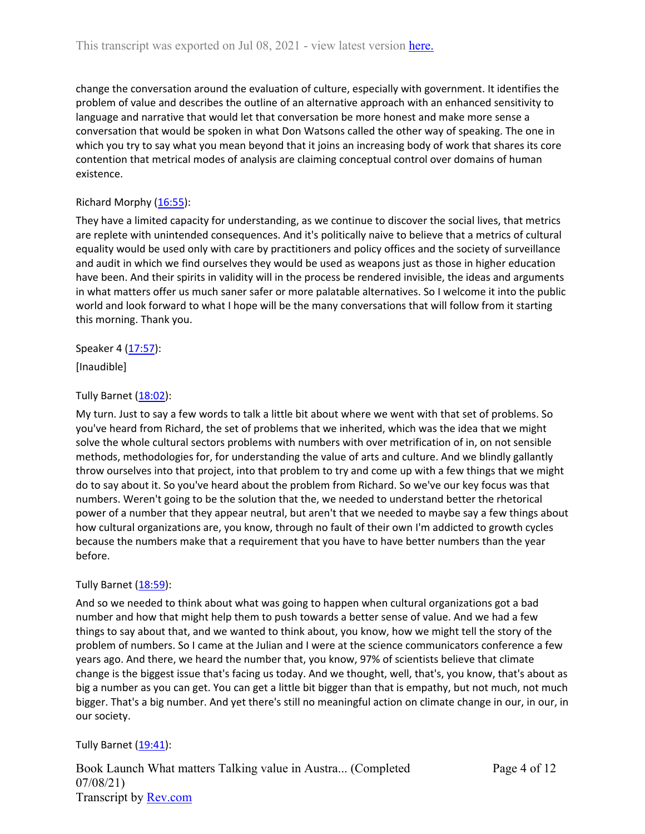change the conversation around the evaluation of culture, especially with government. It identifies the problem of value and describes the outline of an alternative approach with an enhanced sensitivity to language and narrative that would let that conversation be more honest and make more sense a conversation that would be spoken in what Don Watsons called the other way of speaking. The one in which you try to say what you mean beyond that it joins an increasing body of work that shares its core contention that metrical modes of analysis are claiming conceptual control over domains of human existence.

# Richard Morphy  $(16:55)$  $(16:55)$ :

They have a limited capacity for understanding, as we continue to discover the social lives, that metrics are replete with unintended consequences. And it's politically naive to believe that a metrics of cultural equality would be used only with care by practitioners and policy offices and the society of surveillance and audit in which we find ourselves they would be used as weapons just as those in higher education have been. And their spirits in validity will in the process be rendered invisible, the ideas and arguments in what matters offer us much saner safer or more palatable alternatives. So I welcome it into the public world and look forward to what I hope will be the many conversations that will follow from it starting this morning. Thank you.

Speaker 4 ([17:57](https://www.rev.com/transcript-editor/Edit?token=b3l1vDPlNeYc3O1kL3WrFjmWfZ8yJKM88HBgrBhxRgCiFgVzc0xIh0Gy9JXDMxuG3MNE2YmpkL8gFXBCqQ7I48qwgao&loadFrom=DocumentDeeplink&ts=1077.42)):

[Inaudible]

# Tully Barnet ([18:02\)](https://www.rev.com/transcript-editor/Edit?token=1ERtVjwgXoIowUg4jBe_GM3xzr11bW0X1K5c6GpRTSI6qDNrRbO8hAMHMLUhsNGr6RRuwnB67BUnZFR7h5SDNhUbKT4&loadFrom=DocumentDeeplink&ts=1082.36):

My turn. Just to say a few words to talk a little bit about where we went with that set of problems. So you've heard from Richard, the set of problems that we inherited, which was the idea that we might solve the whole cultural sectors problems with numbers with over metrification of in, on not sensible methods, methodologies for, for understanding the value of arts and culture. And we blindly gallantly throw ourselves into that project, into that problem to try and come up with a few things that we might do to say about it. So you've heard about the problem from Richard. So we've our key focus was that numbers. Weren't going to be the solution that the, we needed to understand better the rhetorical power of a number that they appear neutral, but aren't that we needed to maybe say a few things about how cultural organizations are, you know, through no fault of their own I'm addicted to growth cycles because the numbers make that a requirement that you have to have better numbers than the year before.

# Tully Barnet ([18:59\)](https://www.rev.com/transcript-editor/Edit?token=j5Nf6MsR1ftdvly4I9i3HZhnYhG2HGv-qpd1wzWKuKVkiioZxVkb27H5zPozVTQ6cZr05-kqAcr8qPP_wX_Qnps0O8s&loadFrom=DocumentDeeplink&ts=1139.51):

And so we needed to think about what was going to happen when cultural organizations got a bad number and how that might help them to push towards a better sense of value. And we had a few things to say about that, and we wanted to think about, you know, how we might tell the story of the problem of numbers. So I came at the Julian and I were at the science communicators conference a few years ago. And there, we heard the number that, you know, 97% of scientists believe that climate change is the biggest issue that's facing us today. And we thought, well, that's, you know, that's about as big a number as you can get. You can get a little bit bigger than that is empathy, but not much, not much bigger. That's a big number. And yet there's still no meaningful action on climate change in our, in our, in our society.

# Tully Barnet  $(19:41)$  $(19:41)$ :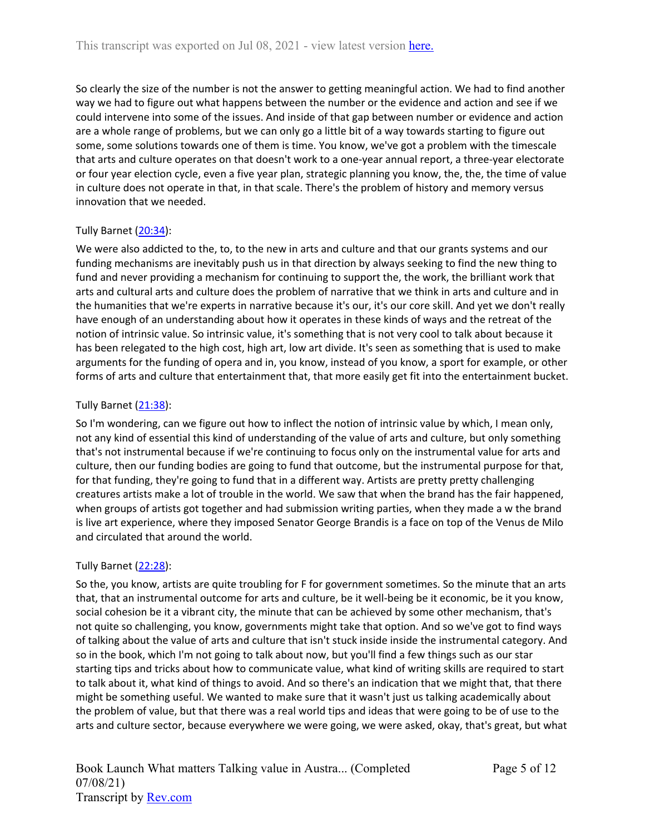So clearly the size of the number is not the answer to getting meaningful action. We had to find another way we had to figure out what happens between the number or the evidence and action and see if we could intervene into some of the issues. And inside of that gap between number or evidence and action are a whole range of problems, but we can only go a little bit of a way towards starting to figure out some, some solutions towards one of them is time. You know, we've got a problem with the timescale that arts and culture operates on that doesn't work to a one-year annual report, a three-year electorate or four year election cycle, even a five year plan, strategic planning you know, the, the, the time of value in culture does not operate in that, in that scale. There's the problem of history and memory versus innovation that we needed.

# Tully Barnet ([20:34\)](https://www.rev.com/transcript-editor/Edit?token=70eeArTA2_-UO7foyzDtAUYiPZuq2aQINXzHfluXD1xBYjOYw6mzqaJId7xNmM_HwBwLkKY2fUjESaqy-3u2IaO0yIs&loadFrom=DocumentDeeplink&ts=1234.01):

We were also addicted to the, to, to the new in arts and culture and that our grants systems and our funding mechanisms are inevitably push us in that direction by always seeking to find the new thing to fund and never providing a mechanism for continuing to support the, the work, the brilliant work that arts and cultural arts and culture does the problem of narrative that we think in arts and culture and in the humanities that we're experts in narrative because it's our, it's our core skill. And yet we don't really have enough of an understanding about how it operates in these kinds of ways and the retreat of the notion of intrinsic value. So intrinsic value, it's something that is not very cool to talk about because it has been relegated to the high cost, high art, low art divide. It's seen as something that is used to make arguments for the funding of opera and in, you know, instead of you know, a sport for example, or other forms of arts and culture that entertainment that, that more easily get fit into the entertainment bucket.

# Tully Barnet ([21:38\)](https://www.rev.com/transcript-editor/Edit?token=-XcDR5sVLcxJX5yHtqClb3zeIYWw-Gk2f0zxxCVNMJJmhxd6cO_gmExc_qbuqItrz-hxaiyEQnQH-NnldAEHXfk3CaQ&loadFrom=DocumentDeeplink&ts=1298.77):

So I'm wondering, can we figure out how to inflect the notion of intrinsic value by which, I mean only, not any kind of essential this kind of understanding of the value of arts and culture, but only something that's not instrumental because if we're continuing to focus only on the instrumental value for arts and culture, then our funding bodies are going to fund that outcome, but the instrumental purpose for that, for that funding, they're going to fund that in a different way. Artists are pretty pretty challenging creatures artists make a lot of trouble in the world. We saw that when the brand has the fair happened, when groups of artists got together and had submission writing parties, when they made a w the brand is live art experience, where they imposed Senator George Brandis is a face on top of the Venus de Milo and circulated that around the world.

# Tully Barnet ([22:28\)](https://www.rev.com/transcript-editor/Edit?token=ZBfdGsnJWLW0-s8IF3yCu0MS7nK-udpHKf5HlZ2i5FMymCP5_gLu4L0EBYepck1bAI5qt4py0D2oq7hX2KfcsyN2CNc&loadFrom=DocumentDeeplink&ts=1348.451):

So the, you know, artists are quite troubling for F for government sometimes. So the minute that an arts that, that an instrumental outcome for arts and culture, be it well-being be it economic, be it you know, social cohesion be it a vibrant city, the minute that can be achieved by some other mechanism, that's not quite so challenging, you know, governments might take that option. And so we've got to find ways of talking about the value of arts and culture that isn't stuck inside inside the instrumental category. And so in the book, which I'm not going to talk about now, but you'll find a few things such as our star starting tips and tricks about how to communicate value, what kind of writing skills are required to start to talk about it, what kind of things to avoid. And so there's an indication that we might that, that there might be something useful. We wanted to make sure that it wasn't just us talking academically about the problem of value, but that there was a real world tips and ideas that were going to be of use to the arts and culture sector, because everywhere we were going, we were asked, okay, that's great, but what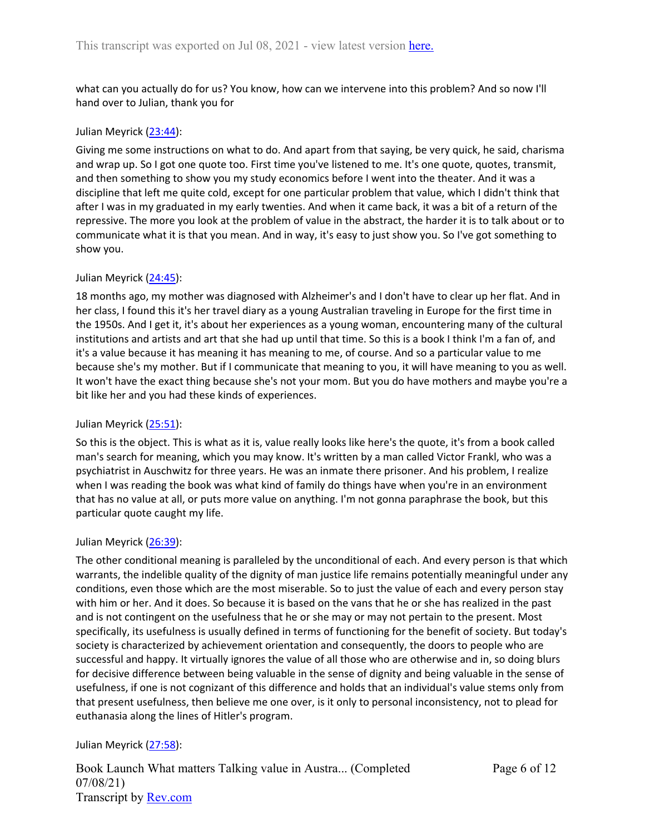what can you actually do for us? You know, how can we intervene into this problem? And so now I'll hand over to Julian, thank you for

### Julian Meyrick ([23:44\)](https://www.rev.com/transcript-editor/Edit?token=spaRuNYEagsLCd2GcNu5AEiE3y6xORx45InKrddE7Any3-MTVo_Wci3jVntmXXvCkBmk8yRvbX0gxlHU5NlLSJTzAXQ&loadFrom=DocumentDeeplink&ts=1424.93):

Giving me some instructions on what to do. And apart from that saying, be very quick, he said, charisma and wrap up. So I got one quote too. First time you've listened to me. It's one quote, quotes, transmit, and then something to show you my study economics before I went into the theater. And it was a discipline that left me quite cold, except for one particular problem that value, which I didn't think that after I was in my graduated in my early twenties. And when it came back, it was a bit of a return of the repressive. The more you look at the problem of value in the abstract, the harder it is to talk about or to communicate what it is that you mean. And in way, it's easy to just show you. So I've got something to show you.

### Julian Meyrick ([24:45\)](https://www.rev.com/transcript-editor/Edit?token=L6phQhtAiXFcnQXPSlW7iC-ia3r2ZQ1CLnnR-W3IDCwotT0jXhmGyUzVfnAin4DcLvlAHjfFU_SA-pGJFh17U3L38-E&loadFrom=DocumentDeeplink&ts=1485.19):

18 months ago, my mother was diagnosed with Alzheimer's and I don't have to clear up her flat. And in her class, I found this it's her travel diary as a young Australian traveling in Europe for the first time in the 1950s. And I get it, it's about her experiences as a young woman, encountering many of the cultural institutions and artists and art that she had up until that time. So this is a book I think I'm a fan of, and it's a value because it has meaning it has meaning to me, of course. And so a particular value to me because she's my mother. But if I communicate that meaning to you, it will have meaning to you as well. It won't have the exact thing because she's not your mom. But you do have mothers and maybe you're a bit like her and you had these kinds of experiences.

### Julian Meyrick ([25:51\)](https://www.rev.com/transcript-editor/Edit?token=FZ4CEMS8j28iUwy59pFUPNMG1_yQjYT465t1C3cn63ffvn6W0myEbqJ1hu6FW9_fns3kLA-tS0tgHhufUIccU8ml9Ig&loadFrom=DocumentDeeplink&ts=1551.1):

So this is the object. This is what as it is, value really looks like here's the quote, it's from a book called man's search for meaning, which you may know. It's written by a man called Victor Frankl, who was a psychiatrist in Auschwitz for three years. He was an inmate there prisoner. And his problem, I realize when I was reading the book was what kind of family do things have when you're in an environment that has no value at all, or puts more value on anything. I'm not gonna paraphrase the book, but this particular quote caught my life.

### Julian Meyrick ([26:39\)](https://www.rev.com/transcript-editor/Edit?token=838ql7IxdXFn-XoufjB5kzeQeFjiFRfyOt1UZQAuOh16mziYbm1pWU-ZJz7sYgIEMTjelOM8oFJEzcffpG4V5nExfUo&loadFrom=DocumentDeeplink&ts=1599.27):

The other conditional meaning is paralleled by the unconditional of each. And every person is that which warrants, the indelible quality of the dignity of man justice life remains potentially meaningful under any conditions, even those which are the most miserable. So to just the value of each and every person stay with him or her. And it does. So because it is based on the vans that he or she has realized in the past and is not contingent on the usefulness that he or she may or may not pertain to the present. Most specifically, its usefulness is usually defined in terms of functioning for the benefit of society. But today's society is characterized by achievement orientation and consequently, the doors to people who are successful and happy. It virtually ignores the value of all those who are otherwise and in, so doing blurs for decisive difference between being valuable in the sense of dignity and being valuable in the sense of usefulness, if one is not cognizant of this difference and holds that an individual's value stems only from that present usefulness, then believe me one over, is it only to personal inconsistency, not to plead for euthanasia along the lines of Hitler's program.

### Julian Meyrick ([27:58\)](https://www.rev.com/transcript-editor/Edit?token=a0B2uwpu8ljoc8O1JggggryOiZJV09Yqdd0MYS3weC1IFX4OQosL61Zuz1XEm-8r9dVNqlYi4r8k2H5Wjk0FGNp7HNA&loadFrom=DocumentDeeplink&ts=1678.23):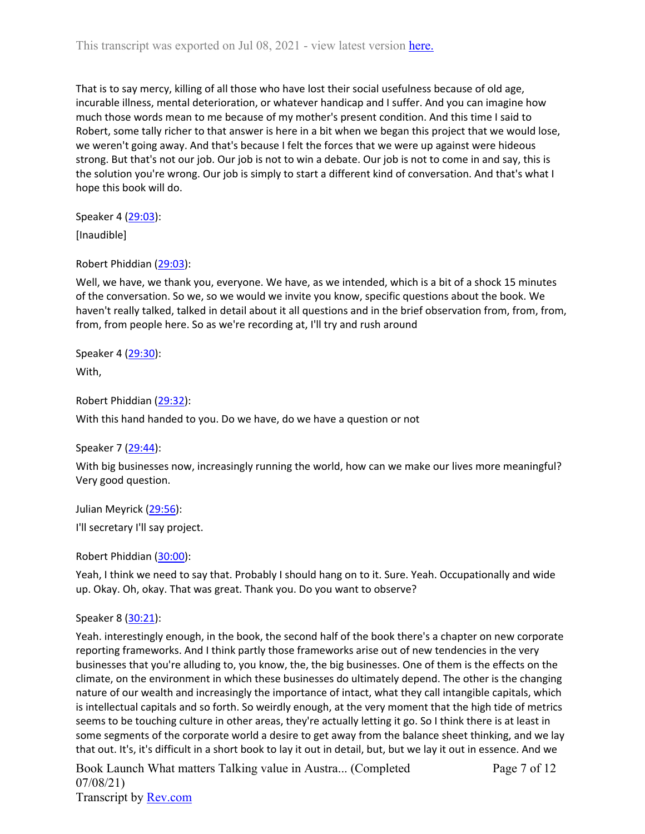That is to say mercy, killing of all those who have lost their social usefulness because of old age, incurable illness, mental deterioration, or whatever handicap and I suffer. And you can imagine how much those words mean to me because of my mother's present condition. And this time I said to Robert, some tally richer to that answer is here in a bit when we began this project that we would lose, we weren't going away. And that's because I felt the forces that we were up against were hideous strong. But that's not our job. Our job is not to win a debate. Our job is not to come in and say, this is the solution you're wrong. Our job is simply to start a different kind of conversation. And that's what I hope this book will do.

Speaker 4 ([29:03](https://www.rev.com/transcript-editor/Edit?token=CCHNhX7hu65atGSaAJc23BrBTgU3ZqQyDzNTC655Y6FAtZUi4Zs_MIpuG-Q_Rt6pKbZ281hQh7jLsU2mZBNe8MVxNJ0&loadFrom=DocumentDeeplink&ts=1743)):

[Inaudible]

Robert Phiddian ([29:03](https://www.rev.com/transcript-editor/Edit?token=Fq5ikjzRSIEPOjWX04SjW9rlDm9j4r3w54eUNW6ko5GAjvMsmMluHJlxlRzsbbfNkvnTBf2bY-9N0Htl-1eYrlfsAfg&loadFrom=DocumentDeeplink&ts=1743.02)):

Well, we have, we thank you, everyone. We have, as we intended, which is a bit of a shock 15 minutes of the conversation. So we, so we would we invite you know, specific questions about the book. We haven't really talked, talked in detail about it all questions and in the brief observation from, from, from, from, from people here. So as we're recording at, I'll try and rush around

Speaker 4 ([29:30](https://www.rev.com/transcript-editor/Edit?token=BTE8OX1ofZdokBR6tm-dN7cxxMPk33zubU7z4QCQWJemH13ysLB3IzLnw-giY4hFxGg3bj0P7J5r-B9nOklHYAxMJng&loadFrom=DocumentDeeplink&ts=1770.68)):

With,

Robert Phiddian ([29:32](https://www.rev.com/transcript-editor/Edit?token=hbqPksYn2ZAStoc3QisO-mQOZioam62aVNIXscrqId79iwgjDGTCVY-1-8d-lRncw6oQQ7GW0YpZ-mhMOdvbAcNxldU&loadFrom=DocumentDeeplink&ts=1772.93)):

With this hand handed to you. Do we have, do we have a question or not

Speaker 7 ([29:44](https://www.rev.com/transcript-editor/Edit?token=Z2mcVwmid6OZMdxre-f6NR6ojOteAnbJUuGHZ2_wnRXOFYD8a8CG1sUwM86s3XDIsJd-fFDQWeuHGrdhqkrVgqSLMKg&loadFrom=DocumentDeeplink&ts=1784.44)):

With big businesses now, increasingly running the world, how can we make our lives more meaningful? Very good question.

Julian Meyrick ([29:56\)](https://www.rev.com/transcript-editor/Edit?token=RLerXqPuAJupYDSBQ8vFtjssMwjuwjE0Nm-KcxeBUD6t8q_uVFrzMmGBMsh3lRqTaJKW_EbEzNCr9_oZEY3Ej2TeUOU&loadFrom=DocumentDeeplink&ts=1796.68):

I'll secretary I'll say project.

Robert Phiddian ([30:00](https://www.rev.com/transcript-editor/Edit?token=SBdTpaYOmh-Xo6P7LjJ3SsgbJ5unF_ulwnC1r3aSB5oewIw2agIC0no8XSOHftrg1YmH774AUCd8muijKbq6J83eCOY&loadFrom=DocumentDeeplink&ts=1800.6)):

Yeah, I think we need to say that. Probably I should hang on to it. Sure. Yeah. Occupationally and wide up. Okay. Oh, okay. That was great. Thank you. Do you want to observe?

Speaker 8 ([30:21](https://www.rev.com/transcript-editor/Edit?token=O0fpv1Jk6rZPOe_P0bdVUegbC7TsxfAy5nQ1skV1XIrCflQC6Lq4Xf9lY7I0jbpj1o_-iF5gCKmSr1vqRLWNaOqpbd8&loadFrom=DocumentDeeplink&ts=1821.66)):

Yeah. interestingly enough, in the book, the second half of the book there's a chapter on new corporate reporting frameworks. And I think partly those frameworks arise out of new tendencies in the very businesses that you're alluding to, you know, the, the big businesses. One of them is the effects on the climate, on the environment in which these businesses do ultimately depend. The other is the changing nature of our wealth and increasingly the importance of intact, what they call intangible capitals, which is intellectual capitals and so forth. So weirdly enough, at the very moment that the high tide of metrics seems to be touching culture in other areas, they're actually letting it go. So I think there is at least in some segments of the corporate world a desire to get away from the balance sheet thinking, and we lay that out. It's, it's difficult in a short book to lay it out in detail, but, but we lay it out in essence. And we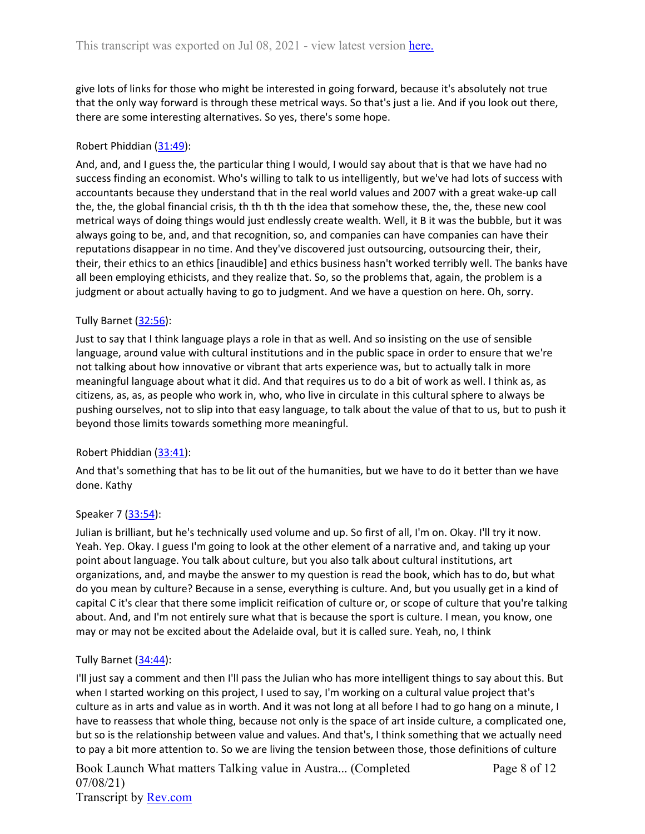give lots of links for those who might be interested in going forward, because it's absolutely not true that the only way forward is through these metrical ways. So that's just a lie. And if you look out there, there are some interesting alternatives. So yes, there's some hope.

### Robert Phiddian ([31:49](https://www.rev.com/transcript-editor/Edit?token=xGngEhzKfxcoXgPGZJxV9Y5sSQCfM4JUWdv9COk59dInYKFEWjRaKc8MrsT6Ku382Nrfn5c9UH2p4z5pqSinDch3f8U&loadFrom=DocumentDeeplink&ts=1909.97)):

And, and, and I guess the, the particular thing I would, I would say about that is that we have had no success finding an economist. Who's willing to talk to us intelligently, but we've had lots of success with accountants because they understand that in the real world values and 2007 with a great wake-up call the, the, the global financial crisis, th th th th the idea that somehow these, the, the, these new cool metrical ways of doing things would just endlessly create wealth. Well, it B it was the bubble, but it was always going to be, and, and that recognition, so, and companies can have companies can have their reputations disappear in no time. And they've discovered just outsourcing, outsourcing their, their, their, their ethics to an ethics [inaudible] and ethics business hasn't worked terribly well. The banks have all been employing ethicists, and they realize that. So, so the problems that, again, the problem is a judgment or about actually having to go to judgment. And we have a question on here. Oh, sorry.

### Tully Barnet ([32:56\)](https://www.rev.com/transcript-editor/Edit?token=PixW_8Q2PWRkQ1QtMsA7tEmuqnEVH40zPNsIKY3kgL4DLjx_G9X1KWfgyqgyaeULyx1wDXT9WJbNSfmUuOitFrKQ_58&loadFrom=DocumentDeeplink&ts=1976.42):

Just to say that I think language plays a role in that as well. And so insisting on the use of sensible language, around value with cultural institutions and in the public space in order to ensure that we're not talking about how innovative or vibrant that arts experience was, but to actually talk in more meaningful language about what it did. And that requires us to do a bit of work as well. I think as, as citizens, as, as, as people who work in, who, who live in circulate in this cultural sphere to always be pushing ourselves, not to slip into that easy language, to talk about the value of that to us, but to push it beyond those limits towards something more meaningful.

### Robert Phiddian ([33:41](https://www.rev.com/transcript-editor/Edit?token=OdQ27InfANK_fkHXqsDTVkaZ6Y1T3IvBeNBAllr-9VCQkE1rJg0nc2i5zaQ7214blHChE5Xei0XI244-n3QCkMiqFFE&loadFrom=DocumentDeeplink&ts=2021.29)):

And that's something that has to be lit out of the humanities, but we have to do it better than we have done. Kathy

### Speaker 7 ([33:54](https://www.rev.com/transcript-editor/Edit?token=E8Wgur2lFtg5TcLgjNgwDnd6W1gJ_WqosVYwEGqOh-VD1kk1kfCaolrI1GlAQZ61Qe0VoOmD5pklZ0aSBIRbVJyUmNw&loadFrom=DocumentDeeplink&ts=2034.79)):

Julian is brilliant, but he's technically used volume and up. So first of all, I'm on. Okay. I'll try it now. Yeah. Yep. Okay. I guess I'm going to look at the other element of a narrative and, and taking up your point about language. You talk about culture, but you also talk about cultural institutions, art organizations, and, and maybe the answer to my question is read the book, which has to do, but what do you mean by culture? Because in a sense, everything is culture. And, but you usually get in a kind of capital C it's clear that there some implicit reification of culture or, or scope of culture that you're talking about. And, and I'm not entirely sure what that is because the sport is culture. I mean, you know, one may or may not be excited about the Adelaide oval, but it is called sure. Yeah, no, I think

### Tully Barnet ([34:44\)](https://www.rev.com/transcript-editor/Edit?token=W95CWo2gK3cqXBAKALGsvPTze52F8UenwOwbIM857PaRkiEGa4MvVNCb5rBKL-OD0y1DssCi6-QgmLzIJ2H-V2Rc0dk&loadFrom=DocumentDeeplink&ts=2084.62):

I'll just say a comment and then I'll pass the Julian who has more intelligent things to say about this. But when I started working on this project, I used to say, I'm working on a cultural value project that's culture as in arts and value as in worth. And it was not long at all before I had to go hang on a minute, I have to reassess that whole thing, because not only is the space of art inside culture, a complicated one, but so is the relationship between value and values. And that's, I think something that we actually need to pay a bit more attention to. So we are living the tension between those, those definitions of culture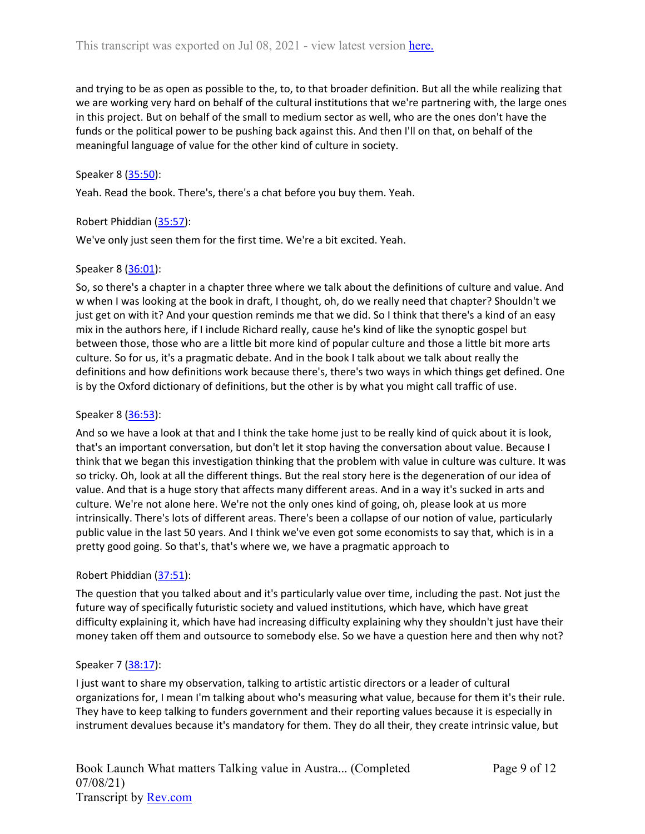and trying to be as open as possible to the, to, to that broader definition. But all the while realizing that we are working very hard on behalf of the cultural institutions that we're partnering with, the large ones in this project. But on behalf of the small to medium sector as well, who are the ones don't have the funds or the political power to be pushing back against this. And then I'll on that, on behalf of the meaningful language of value for the other kind of culture in society.

### Speaker 8 ([35:50](https://www.rev.com/transcript-editor/Edit?token=j-7freXSsvBBTtTdUVHyD3uqZBaKZJLK5ti5CZypMe8PJymFRNik8ZLJvawYnF-DYIblfBeuUSILBTAUzV63JFRRmFU&loadFrom=DocumentDeeplink&ts=2150.3)):

Yeah. Read the book. There's, there's a chat before you buy them. Yeah.

### Robert Phiddian ([35:57](https://www.rev.com/transcript-editor/Edit?token=l_6T_go4HIX-o4AdsFuHsgm3hrJAzaSnijhGWMz5ozeQZ45QpKQbFBjklvFYTT3dBWUF94rgx3phjw57GPvakgLXDZ0&loadFrom=DocumentDeeplink&ts=2157.88)):

We've only just seen them for the first time. We're a bit excited. Yeah.

### Speaker 8 ([36:01](https://www.rev.com/transcript-editor/Edit?token=6kwgo2f0XMFa1GH_ZJSiSR2Z7jP5An-yEhtGpQH6RZY30i0zjH7rHAJ9mV_bdcco0XLFH6PZFbhjzx2WbzPOzJo7o8Q&loadFrom=DocumentDeeplink&ts=2161.13)):

So, so there's a chapter in a chapter three where we talk about the definitions of culture and value. And w when I was looking at the book in draft, I thought, oh, do we really need that chapter? Shouldn't we just get on with it? And your question reminds me that we did. So I think that there's a kind of an easy mix in the authors here, if I include Richard really, cause he's kind of like the synoptic gospel but between those, those who are a little bit more kind of popular culture and those a little bit more arts culture. So for us, it's a pragmatic debate. And in the book I talk about we talk about really the definitions and how definitions work because there's, there's two ways in which things get defined. One is by the Oxford dictionary of definitions, but the other is by what you might call traffic of use.

### Speaker 8 ([36:53](https://www.rev.com/transcript-editor/Edit?token=kev4x7lSBd1uwn4kXw81LD-zShwJimAZx5P81n0LoXUu4LdBpGRaQ0PtDE2-tTL0mSlmp1MJ_6H7JFRn1_PX7PIKTx4&loadFrom=DocumentDeeplink&ts=2213.15)):

And so we have a look at that and I think the take home just to be really kind of quick about it is look, that's an important conversation, but don't let it stop having the conversation about value. Because I think that we began this investigation thinking that the problem with value in culture was culture. It was so tricky. Oh, look at all the different things. But the real story here is the degeneration of our idea of value. And that is a huge story that affects many different areas. And in a way it's sucked in arts and culture. We're not alone here. We're not the only ones kind of going, oh, please look at us more intrinsically. There's lots of different areas. There's been a collapse of our notion of value, particularly public value in the last 50 years. And I think we've even got some economists to say that, which is in a pretty good going. So that's, that's where we, we have a pragmatic approach to

### Robert Phiddian ([37:51](https://www.rev.com/transcript-editor/Edit?token=RPtOzkdnDEfUl60g-JwMB-ThKC1XkPKp2dRtYD-IvzLWxZyFAfurqmfiGQijaA3Tbu6d4UOR-FWyNQZYldiIM-U3s3o&loadFrom=DocumentDeeplink&ts=2271.17)):

The question that you talked about and it's particularly value over time, including the past. Not just the future way of specifically futuristic society and valued institutions, which have, which have great difficulty explaining it, which have had increasing difficulty explaining why they shouldn't just have their money taken off them and outsource to somebody else. So we have a question here and then why not?

### Speaker 7 ([38:17](https://www.rev.com/transcript-editor/Edit?token=X0qtlZUQ6QyqOwzV0Jr4LYYEvJKqzpw1C6Ywz8j94GzxEfGONEW3uaKwOIgzmt9kCJyQl59gIOkxcHjkrUUA_01IyLk&loadFrom=DocumentDeeplink&ts=2297.99)):

I just want to share my observation, talking to artistic artistic directors or a leader of cultural organizations for, I mean I'm talking about who's measuring what value, because for them it's their rule. They have to keep talking to funders government and their reporting values because it is especially in instrument devalues because it's mandatory for them. They do all their, they create intrinsic value, but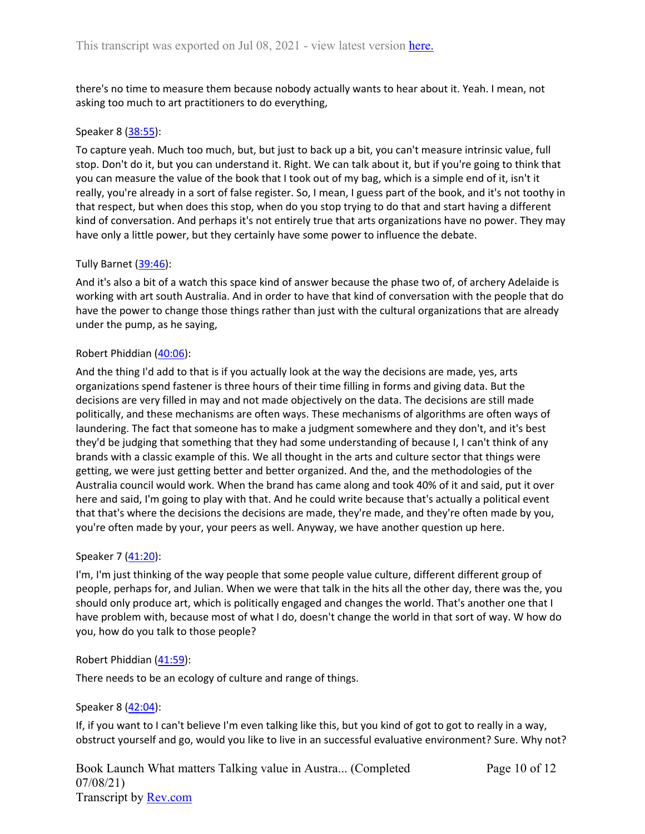there's no time to measure them because nobody actually wants to hear about it. Yeah. I mean, not asking too much to art practitioners to do everything,

#### Speaker 8 ([38:55](https://www.rev.com/transcript-editor/Edit?token=UyEoa4eHVdUt15EKCqhS_iV-0-rr0_Arvo9Z17b6PG7Iva3X96UDs35NBQuosLYzZiskzpgNhZBW-UvZyopXQRlsEmM&loadFrom=DocumentDeeplink&ts=2335.27)):

To capture yeah. Much too much, but, but just to back up a bit, you can't measure intrinsic value, full stop. Don't do it, but you can understand it. Right. We can talk about it, but if you're going to think that you can measure the value of the book that I took out of my bag, which is a simple end of it, isn't it really, you're already in a sort of false register. So, I mean, I guess part of the book, and it's not toothy in that respect, but when does this stop, when do you stop trying to do that and start having a different kind of conversation. And perhaps it's not entirely true that arts organizations have no power. They may have only a little power, but they certainly have some power to influence the debate.

### Tully Barnet ([39:46\)](https://www.rev.com/transcript-editor/Edit?token=JeG2hZtHUneGgX5cpD0wwdj_D0j-wR531Ki2Hene9dl7GRzb9ztuYS2YXkOBZvJm0iWMLl6pBz20Jq2dQK1Qd9dOBfM&loadFrom=DocumentDeeplink&ts=2386.98):

And it's also a bit of a watch this space kind of answer because the phase two of, of archery Adelaide is working with art south Australia. And in order to have that kind of conversation with the people that do have the power to change those things rather than just with the cultural organizations that are already under the pump, as he saying,

### Robert Phiddian ([40:06](https://www.rev.com/transcript-editor/Edit?token=-Uy0y5i3FDk7FTAay5vXVKk_85BBXzR3ntn9Si0RadJ-vle6YrUk9mx9USjnYBjSfTkTQQQiekDD1qd47YCsTcg2MCM&loadFrom=DocumentDeeplink&ts=2406.27)):

And the thing I'd add to that is if you actually look at the way the decisions are made, yes, arts organizations spend fastener is three hours of their time filling in forms and giving data. But the decisions are very filled in may and not made objectively on the data. The decisions are still made politically, and these mechanisms are often ways. These mechanisms of algorithms are often ways of laundering. The fact that someone has to make a judgment somewhere and they don't, and it's best they'd be judging that something that they had some understanding of because I, I can't think of any brands with a classic example of this. We all thought in the arts and culture sector that things were getting, we were just getting better and better organized. And the, and the methodologies of the Australia council would work. When the brand has came along and took 40% of it and said, put it over here and said, I'm going to play with that. And he could write because that's actually a political event that that's where the decisions the decisions are made, they're made, and they're often made by you, you're often made by your, your peers as well. Anyway, we have another question up here.

### Speaker 7 ([41:20](https://www.rev.com/transcript-editor/Edit?token=L8Zpe8he5xZnQ0QraAubpC-h800cgicHNt_MT1WzWTJt-XqdxdCjusg2fcAl6GjDPi6XDLvRDSsKGiqZwCQ66e5uVaA&loadFrom=DocumentDeeplink&ts=2480.16)):

I'm, I'm just thinking of the way people that some people value culture, different different group of people, perhaps for, and Julian. When we were that talk in the hits all the other day, there was the, you should only produce art, which is politically engaged and changes the world. That's another one that I have problem with, because most of what I do, doesn't change the world in that sort of way. W how do you, how do you talk to those people?

#### Robert Phiddian ([41:59](https://www.rev.com/transcript-editor/Edit?token=yKBgExwEJrgsFSaoNMoSkDy3l_0dAtDl61ARfGA6yZeYwBMAaUMG-h2_hax2UsZj6DodlMk_ATDq71FiBx5pwUr_mec&loadFrom=DocumentDeeplink&ts=2519.65)):

There needs to be an ecology of culture and range of things.

#### Speaker 8 ([42:04](https://www.rev.com/transcript-editor/Edit?token=2FrUJ363pdUwmb04kZxO_fLFy2m0BAMCWgDlVI4FQF8KbzcTbxkMY6XYlQ6UvO6XGOUE56qwDvpD2FGlqL9817ill5A&loadFrom=DocumentDeeplink&ts=2524.97)):

If, if you want to I can't believe I'm even talking like this, but you kind of got to got to really in a way, obstruct yourself and go, would you like to live in an successful evaluative environment? Sure. Why not?

Book Launch What matters Talking value in Austra... (Completed 07/08/21) Transcript by [Rev.com](https://www.rev.com/)

Page 10 of 12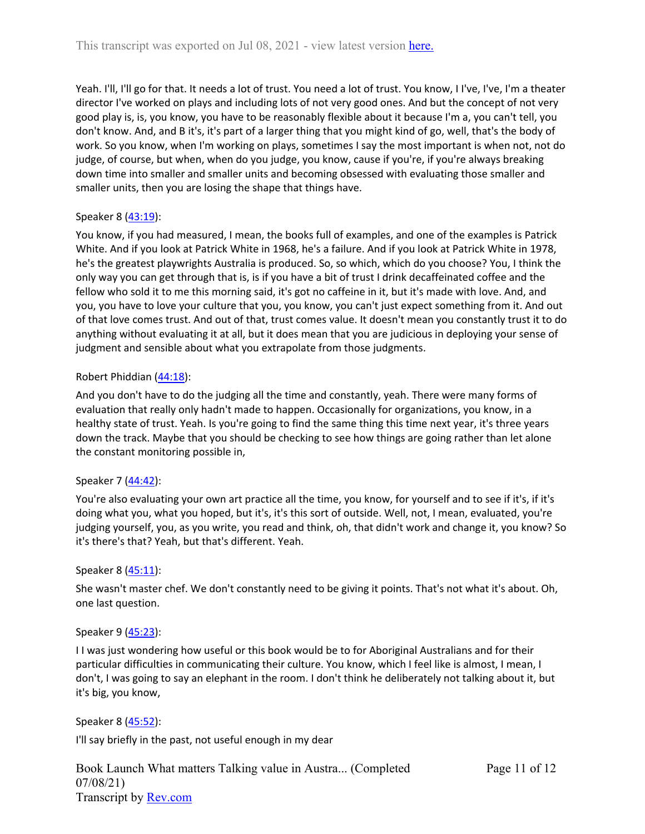Yeah. I'll, I'll go for that. It needs a lot of trust. You need a lot of trust. You know, I I've, I've, I'm a theater director I've worked on plays and including lots of not very good ones. And but the concept of not very good play is, is, you know, you have to be reasonably flexible about it because I'm a, you can't tell, you don't know. And, and B it's, it's part of a larger thing that you might kind of go, well, that's the body of work. So you know, when I'm working on plays, sometimes I say the most important is when not, not do judge, of course, but when, when do you judge, you know, cause if you're, if you're always breaking down time into smaller and smaller units and becoming obsessed with evaluating those smaller and smaller units, then you are losing the shape that things have.

# Speaker 8 ([43:19](https://www.rev.com/transcript-editor/Edit?token=xDhGoWvUq-tUhGEV6UYz3IvCEnLSGit6fCX0oDm61qp0_EV6uNJdKAr6eri3-maK9fCmBnsZso0XjVSnUVtadTneV7g&loadFrom=DocumentDeeplink&ts=2599.3)):

You know, if you had measured, I mean, the books full of examples, and one of the examples is Patrick White. And if you look at Patrick White in 1968, he's a failure. And if you look at Patrick White in 1978, he's the greatest playwrights Australia is produced. So, so which, which do you choose? You, I think the only way you can get through that is, is if you have a bit of trust I drink decaffeinated coffee and the fellow who sold it to me this morning said, it's got no caffeine in it, but it's made with love. And, and you, you have to love your culture that you, you know, you can't just expect something from it. And out of that love comes trust. And out of that, trust comes value. It doesn't mean you constantly trust it to do anything without evaluating it at all, but it does mean that you are judicious in deploying your sense of judgment and sensible about what you extrapolate from those judgments.

# Robert Phiddian ([44:18](https://www.rev.com/transcript-editor/Edit?token=jY3UyqISL3_eE71Ig2ZlesG-KqZ2l1DhK_Xf2DnaOZqLoeF25EXSBYZ_Ju1EJ9-_PlHxcvCd-jR7yrKYVX9BhaZh6rM&loadFrom=DocumentDeeplink&ts=2658.55)):

And you don't have to do the judging all the time and constantly, yeah. There were many forms of evaluation that really only hadn't made to happen. Occasionally for organizations, you know, in a healthy state of trust. Yeah. Is you're going to find the same thing this time next year, it's three years down the track. Maybe that you should be checking to see how things are going rather than let alone the constant monitoring possible in,

# Speaker 7 ([44:42](https://www.rev.com/transcript-editor/Edit?token=TV7b2ViXmpfvaJdf4CBnJSP1CAo2DYLiMnbFv_CvHXL4IAv937X4XBD_c70EjAc5Ag83SneI_nICzAiloXvN4KH9NIk&loadFrom=DocumentDeeplink&ts=2682.56)):

You're also evaluating your own art practice all the time, you know, for yourself and to see if it's, if it's doing what you, what you hoped, but it's, it's this sort of outside. Well, not, I mean, evaluated, you're judging yourself, you, as you write, you read and think, oh, that didn't work and change it, you know? So it's there's that? Yeah, but that's different. Yeah.

# Speaker 8 ([45:11](https://www.rev.com/transcript-editor/Edit?token=FkNO5XfHKREGQnfO0eDvEw_y2VlRHgTaFjyy1YlOyCMzYTw7VLWjRKXY5qJSW7fhCsLAN7RzMENYB1QUx2w94U6L8hY&loadFrom=DocumentDeeplink&ts=2711.18)):

She wasn't master chef. We don't constantly need to be giving it points. That's not what it's about. Oh, one last question.

# Speaker 9 ([45:23](https://www.rev.com/transcript-editor/Edit?token=rG-4L1dk3FE4vzUxwG2wSVxKLSd0pR0EFo6BbvUquOhGQgQeN6Nhp4523IL72Peunp7M40aQVUgElntNi-e2IyxzF7A&loadFrom=DocumentDeeplink&ts=2723.72)):

I I was just wondering how useful or this book would be to for Aboriginal Australians and for their particular difficulties in communicating their culture. You know, which I feel like is almost, I mean, I don't, I was going to say an elephant in the room. I don't think he deliberately not talking about it, but it's big, you know,

Speaker 8 ([45:52](https://www.rev.com/transcript-editor/Edit?token=q83pp02Nq_0QLGF1n9cjq31vvF5dljbg9bLcOfGTGJdIWXuhjXJGtCeskiHcZ4opsEa6MLWrYL-tKAJ4_oxrmtws82c&loadFrom=DocumentDeeplink&ts=2752.7)):

I'll say briefly in the past, not useful enough in my dear